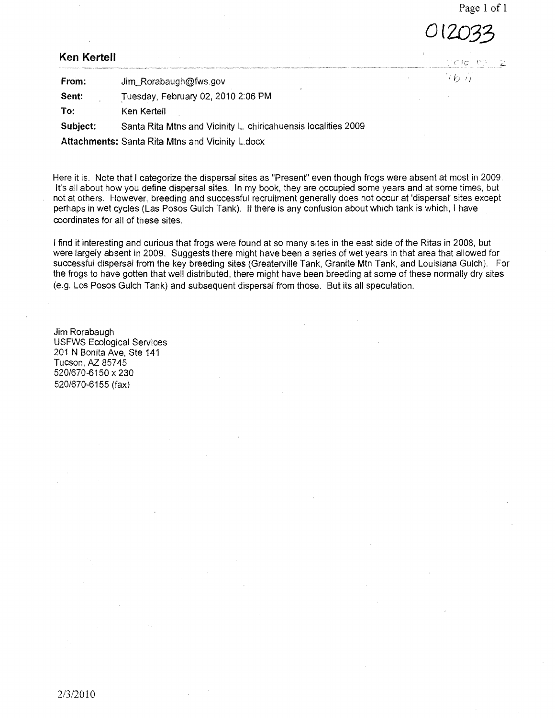Page 1 of 1

*(2.0.33* 

## **Ken KerteII**

**From:** Jim\_Rorabaugh@fws.gov **Sent:** Tuesday, February 02, 2010 2:06 PM **To:** Ken Kertell **Subject:** Santa Rita Mtns and Vicinity L. chiricahuensis localities 2009 **Attachments:** Santa Rita Mtns and Vicinity L.docx

Here it is. Note that I categorize the dispersal sites as "Present" even though frogs were absent at most in 2009. It's all about how you define dispersal sites. In my book, they are occupied some years and at some times, but not at others. However, breeding and successful recruitment generally does not occur at 'dispersal' sites except perhaps in wet cycles (Las Posos Gulch Tank). If there is any confusion about which tank is which, I have coordinates for all of these sites.

I find it interesting and curious that frogs were found at so many sites in the east side of the Ritas in 2008, but were largely absent in 2009. Suggests there might have been a series of wet years in that area that allowed for successful dispersal from the key breeding sites (Greaterville Tank, Granite Mtn Tank, and Louisiana Gulch). For the frogs to have gotten that well distributed, there might have been breeding at some of these normally dry sites (e.g. Los Posos Gulch Tank) and subsequent dispersal from those. But its all speculation.

Jim Rorabaugh USFWS Ecological Services 201 N Bonita Ave, Ste 141 Tucson, AZ 85745 520/670-6150 x 230 520/670-6155 (fax)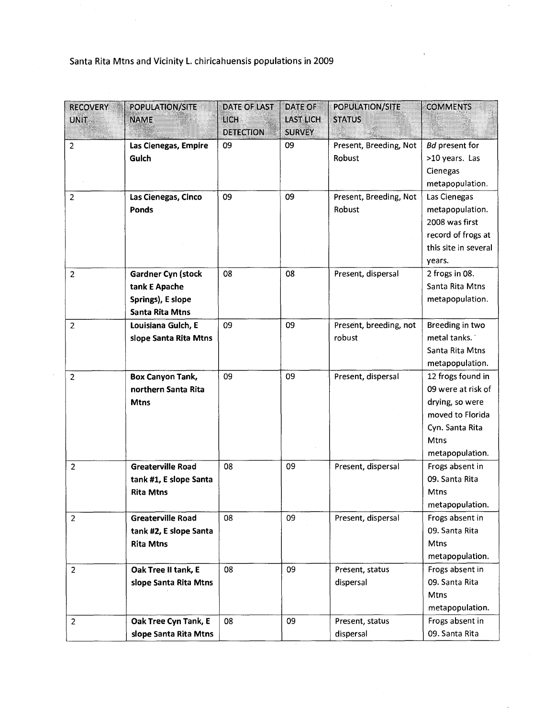## Santa Rita Mtns and Vicinity L. chiricahuensis populations in 2009

 $\sim$ 

| <b>RECOVERY</b> | <b>POPULATION/SITE</b>    | DATE OF LAST     | <b>DATE OF</b>   | <b>POPULATION/SITE</b> | <b>COMMENTS</b>       |
|-----------------|---------------------------|------------------|------------------|------------------------|-----------------------|
| <b>UNIT</b>     | <b>NAME</b>               | <b>LICH</b>      | <b>LAST LICH</b> | <b>STATUS</b>          |                       |
|                 |                           | <b>DETECTION</b> | <b>SURVEY</b>    |                        |                       |
| $\overline{2}$  | Las Cienegas, Empire      | 09               | 09               | Present, Breeding, Not | <b>Bd</b> present for |
|                 | Gulch                     |                  |                  | Robust                 | >10 years. Las        |
|                 |                           |                  |                  |                        | Cienegas              |
|                 |                           |                  |                  |                        | metapopulation.       |
| $\overline{2}$  | Las Cienegas, Cinco       | 09               | 09               | Present, Breeding, Not | Las Cienegas          |
|                 | Ponds                     |                  |                  | Robust                 | metapopulation.       |
|                 |                           |                  |                  |                        | 2008 was first        |
|                 |                           |                  |                  |                        | record of frogs at    |
|                 |                           |                  |                  |                        | this site in several  |
|                 |                           |                  |                  |                        | years.                |
| 2               | <b>Gardner Cyn (stock</b> | 08               | 08               | Present, dispersal     | 2 frogs in 08.        |
|                 | tank E Apache             |                  |                  |                        | Santa Rita Mtns       |
|                 | Springs), E slope         |                  |                  |                        | metapopulation.       |
|                 | <b>Santa Rita Mtns</b>    |                  |                  |                        |                       |
| 2               | Louisiana Gulch, E        | 09               | 09               | Present, breeding, not | Breeding in two       |
|                 | slope Santa Rita Mtns     |                  |                  | robust                 | metal tanks.          |
|                 |                           |                  |                  |                        | Santa Rita Mtns       |
|                 |                           |                  |                  |                        | metapopulation.       |
| $\overline{2}$  | <b>Box Canyon Tank,</b>   | 09               | 09               | Present, dispersal     | 12 frogs found in     |
|                 | northern Santa Rita       |                  |                  |                        | 09 were at risk of    |
|                 | <b>Mtns</b>               |                  |                  |                        | drying, so were       |
|                 |                           |                  |                  |                        | moved to Florida      |
|                 |                           |                  |                  |                        | Cyn. Santa Rita       |
|                 |                           |                  |                  |                        | Mtns                  |
|                 |                           |                  |                  |                        | metapopulation.       |
| $\overline{2}$  | <b>Greaterville Road</b>  | 08               | 09               | Present, dispersal     | Frogs absent in       |
|                 | tank #1, E slope Santa    |                  |                  |                        | 09. Santa Rita        |
|                 | <b>Rita Mtns</b>          |                  |                  |                        | Mtns                  |
|                 |                           |                  |                  |                        | metapopulation.       |
| $\overline{2}$  | <b>Greaterville Road</b>  | 08               | 09               | Present, dispersal     | Frogs absent in       |
|                 | tank #2, E slope Santa    |                  |                  |                        | 09. Santa Rita        |
|                 | <b>Rita Mtns</b>          |                  |                  |                        | Mtns                  |
|                 |                           |                  |                  |                        | metapopulation.       |
| $\overline{2}$  | Oak Tree II tank, E       | 08               | 09               | Present, status        | Frogs absent in       |
|                 | slope Santa Rita Mtns     |                  |                  | dispersal              | 09. Santa Rita        |
|                 |                           |                  |                  |                        | Mtns                  |
|                 |                           |                  |                  |                        | metapopulation.       |
| $\overline{2}$  | Oak Tree Cyn Tank, E      | 08               | 09               | Present, status        | Frogs absent in       |
|                 | slope Santa Rita Mtns     |                  |                  | dispersal              | 09. Santa Rita        |

 $\hat{\boldsymbol{\beta}}$ 

 $\bar{1}$ 

 $\bar{\gamma}$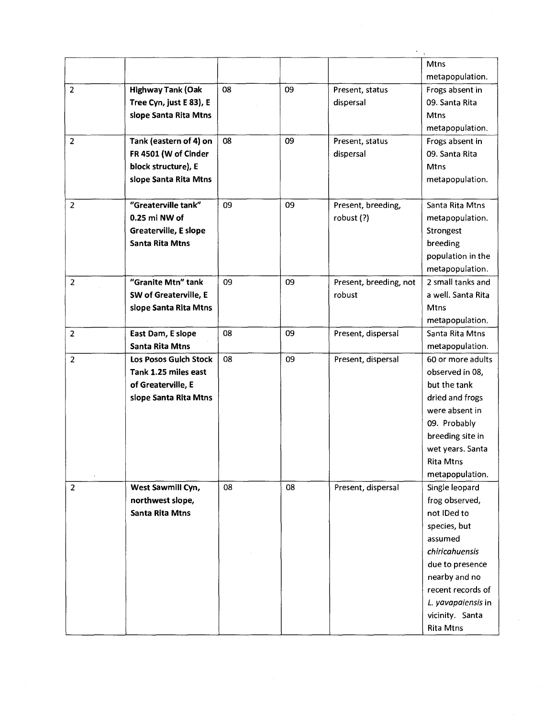|                |                          |    |    |                        | Mtns               |
|----------------|--------------------------|----|----|------------------------|--------------------|
|                |                          |    |    |                        | metapopulation.    |
| $\overline{2}$ | <b>Highway Tank (Oak</b> | 08 | 09 | Present, status        | Frogs absent in    |
|                | Tree Cyn, just E 83), E  |    |    | dispersal              | 09. Santa Rita     |
|                | slope Santa Rita Mtns    |    |    |                        | <b>Mtns</b>        |
|                |                          |    |    |                        | metapopulation.    |
| $\overline{2}$ | Tank (eastern of 4) on   | 08 | 09 | Present, status        | Frogs absent in    |
|                | FR 4501 (W of Cinder     |    |    | dispersal              | 09. Santa Rita     |
|                | block structure), E      |    |    |                        | Mtns               |
|                | slope Santa Rita Mtns    |    |    |                        | metapopulation.    |
| $\overline{2}$ | "Greaterville tank"      | 09 | 09 | Present, breeding,     | Santa Rita Mtns    |
|                | 0.25 mi NW of            |    |    | robust (?)             | metapopulation.    |
|                | Greaterville, E slope    |    |    |                        | Strongest          |
|                | <b>Santa Rita Mtns</b>   |    |    |                        | breeding           |
|                |                          |    |    |                        | population in the  |
|                |                          |    |    |                        | metapopulation.    |
| $\overline{2}$ | "Granite Mtn" tank       | 09 | 09 | Present, breeding, not | 2 small tanks and  |
|                | SW of Greaterville, E    |    |    | robust                 | a well. Santa Rita |
|                | slope Santa Rita Mtns    |    |    |                        | <b>Mtns</b>        |
|                |                          |    |    |                        | metapopulation.    |
| $\overline{2}$ | East Dam, E slope        | 08 | 09 | Present, dispersal     | Santa Rita Mtns    |
|                | <b>Santa Rita Mtns</b>   |    |    |                        | metapopulation.    |
| $\overline{2}$ | Los Posos Gulch Stock    | 08 | 09 | Present, dispersal     | 60 or more adults  |
|                | Tank 1.25 miles east     |    |    |                        | observed in 08,    |
|                | of Greaterville, E       |    |    |                        | but the tank       |
|                | slope Santa Rita Mtns    |    |    |                        | dried and frogs    |
|                |                          |    |    |                        | were absent in     |
|                |                          |    |    |                        | 09. Probably       |
|                |                          |    |    |                        | breeding site in   |
|                |                          |    |    |                        | wet years. Santa   |
|                |                          |    |    |                        | <b>Rita Mtns</b>   |
|                |                          |    |    |                        | metapopulation.    |
| $\overline{2}$ | West Sawmill Cyn,        | 08 | 08 | Present, dispersal     | Single leopard     |
|                | northwest slope,         |    |    |                        | frog observed,     |
|                | <b>Santa Rita Mtns</b>   |    |    |                        | not IDed to        |
|                |                          |    |    |                        | species, but       |
|                |                          |    |    |                        | assumed            |
|                |                          |    |    |                        | chiricahuensis     |
|                |                          |    |    |                        | due to presence    |
|                |                          |    |    |                        | nearby and no      |
|                |                          |    |    |                        | recent records of  |
|                |                          |    |    |                        | L. yavapaiensis in |
|                |                          |    |    |                        | vicinity. Santa    |
|                |                          |    |    |                        | <b>Rita Mtns</b>   |

 $\bar{\beta}$